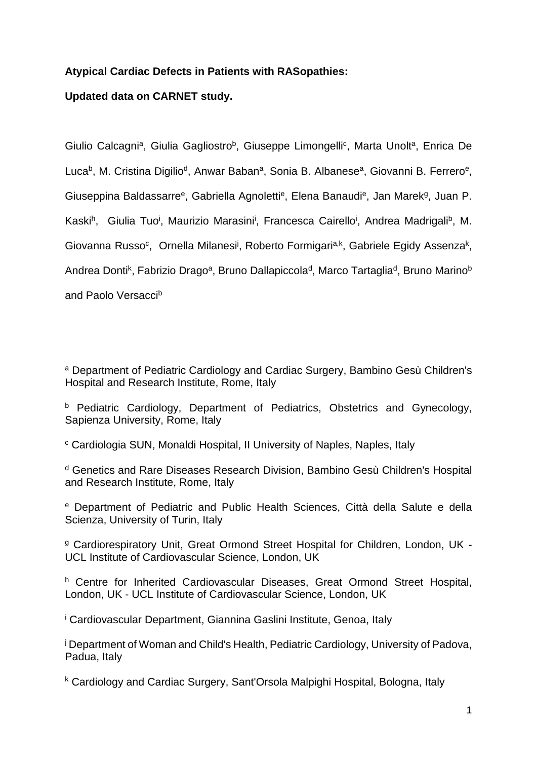# **Atypical Cardiac Defects in Patients with RASopathies:**

# **Updated data on CARNET study.**

Giulio Calcagni<sup>a</sup>, Giulia Gagliostro<sup>b</sup>, Giuseppe Limongelli<sup>c</sup>, Marta Unolt<sup>a</sup>, Enrica De Luca<sup>b</sup>, M. Cristina Digilio<sup>d</sup>, Anwar Baban<sup>a</sup>, Sonia B. Albanese<sup>a</sup>, Giovanni B. Ferrero<sup>e</sup>, Giuseppina Baldassarre<sup>e</sup>, Gabriella Agnoletti<sup>e</sup>, Elena Banaudi<sup>e</sup>, Jan Marek<sup>g</sup>, Juan P. Kaski<sup>h</sup>, Giulia Tuo<sup>i</sup>, Maurizio Marasini<sup>i</sup>, Francesca Cairello<sup>i</sup>, Andrea Madrigali<sup>b</sup>, M. Giovanna Russo<sup>c</sup>, Ornella Milanesi<sup>j</sup>, Roberto Formigari<sup>a,k</sup>, Gabriele Egidy Assenza<sup>k</sup>, Andrea Donti<sup>k</sup>, Fabrizio Drago<sup>a</sup>, Bruno Dallapiccola<sup>d</sup>, Marco Tartaglia<sup>d</sup>, Bruno Marino<sup>b</sup> and Paolo Versaccib

<sup>a</sup> Department of Pediatric Cardiology and Cardiac Surgery, Bambino Gesù Children's Hospital and Research Institute, Rome, Italy

**b** Pediatric Cardiology, Department of Pediatrics, Obstetrics and Gynecology, Sapienza University, Rome, Italy

c Cardiologia SUN, Monaldi Hospital, II University of Naples, Naples, Italy

d Genetics and Rare Diseases Research Division, Bambino Gesù Children's Hospital and Research Institute, Rome, Italy

e Department of Pediatric and Public Health Sciences, Città della Salute e della Scienza, University of Turin, Italy

<sup>g</sup> Cardiorespiratory Unit, Great Ormond Street Hospital for Children, London, UK -UCL Institute of Cardiovascular Science, London, UK

h Centre for Inherited Cardiovascular Diseases, Great Ormond Street Hospital, London, UK - UCL Institute of Cardiovascular Science, London, UK

i Cardiovascular Department, Giannina Gaslini Institute, Genoa, Italy

<sup>j</sup> Department of Woman and Child's Health, Pediatric Cardiology, University of Padova, Padua, Italy

k Cardiology and Cardiac Surgery, Sant'Orsola Malpighi Hospital, Bologna, Italy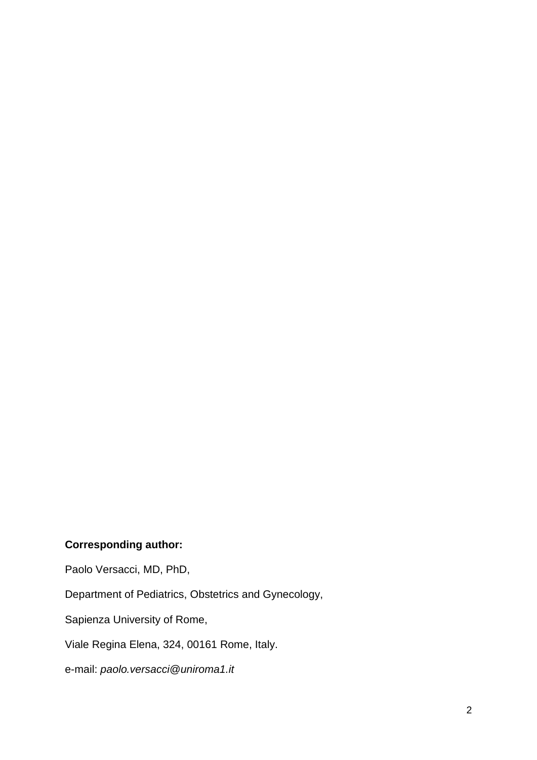# **Corresponding author:**

Paolo Versacci, MD, PhD,

Department of Pediatrics, Obstetrics and Gynecology,

Sapienza University of Rome,

Viale Regina Elena, 324, 00161 Rome, Italy.

e-mail: *paolo.versacci@uniroma1.it*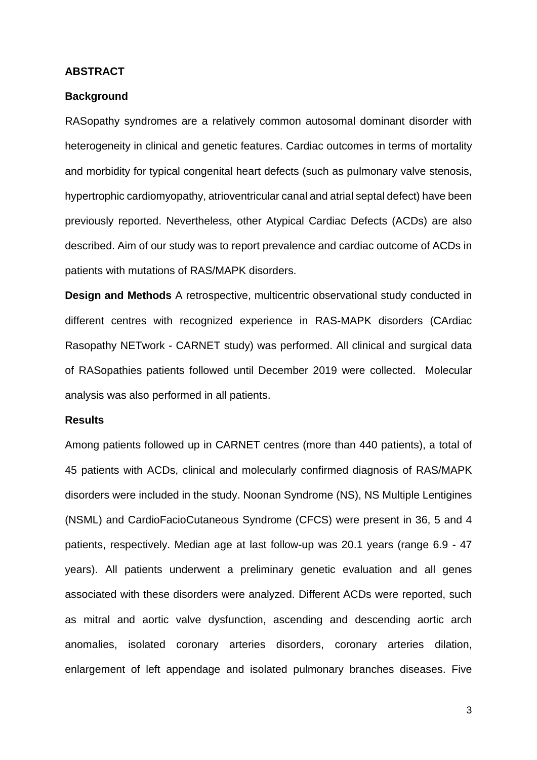#### **ABSTRACT**

## **Background**

RASopathy syndromes are a relatively common autosomal dominant disorder with heterogeneity in clinical and genetic features. Cardiac outcomes in terms of mortality and morbidity for typical congenital heart defects (such as pulmonary valve stenosis, hypertrophic cardiomyopathy, atrioventricular canal and atrial septal defect) have been previously reported. Nevertheless, other Atypical Cardiac Defects (ACDs) are also described. Aim of our study was to report prevalence and cardiac outcome of ACDs in patients with mutations of RAS/MAPK disorders.

**Design and Methods** A retrospective, multicentric observational study conducted in different centres with recognized experience in RAS-MAPK disorders (CArdiac Rasopathy NETwork - CARNET study) was performed. All clinical and surgical data of RASopathies patients followed until December 2019 were collected. Molecular analysis was also performed in all patients.

## **Results**

Among patients followed up in CARNET centres (more than 440 patients), a total of 45 patients with ACDs, clinical and molecularly confirmed diagnosis of RAS/MAPK disorders were included in the study. Noonan Syndrome (NS), NS Multiple Lentigines (NSML) and CardioFacioCutaneous Syndrome (CFCS) were present in 36, 5 and 4 patients, respectively. Median age at last follow-up was 20.1 years (range 6.9 - 47 years). All patients underwent a preliminary genetic evaluation and all genes associated with these disorders were analyzed. Different ACDs were reported, such as mitral and aortic valve dysfunction, ascending and descending aortic arch anomalies, isolated coronary arteries disorders, coronary arteries dilation, enlargement of left appendage and isolated pulmonary branches diseases. Five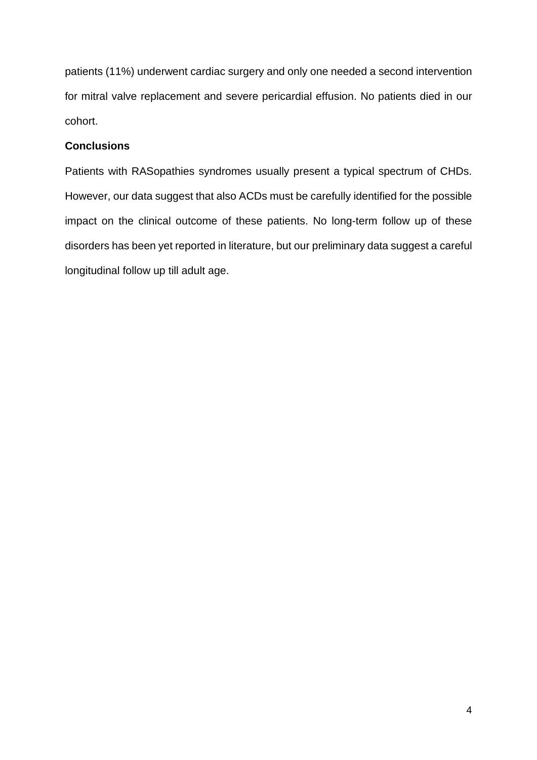patients (11%) underwent cardiac surgery and only one needed a second intervention for mitral valve replacement and severe pericardial effusion. No patients died in our cohort.

# **Conclusions**

Patients with RASopathies syndromes usually present a typical spectrum of CHDs. However, our data suggest that also ACDs must be carefully identified for the possible impact on the clinical outcome of these patients. No long-term follow up of these disorders has been yet reported in literature, but our preliminary data suggest a careful longitudinal follow up till adult age.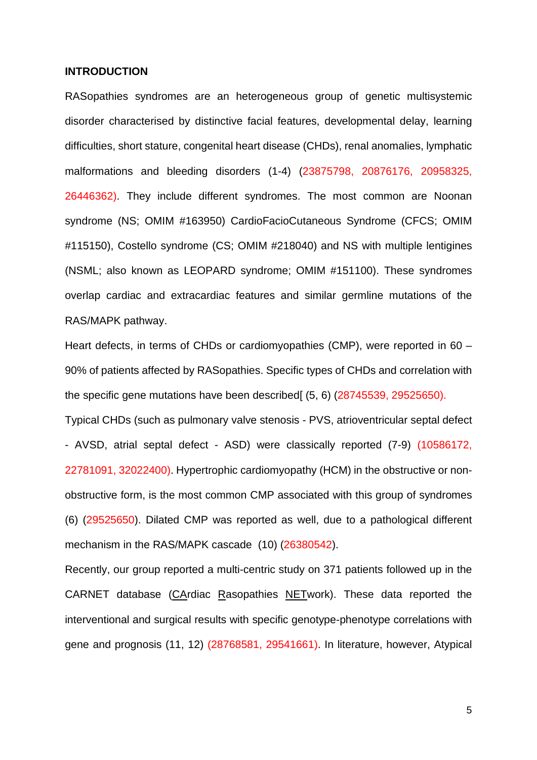### **INTRODUCTION**

RASopathies syndromes are an heterogeneous group of genetic multisystemic disorder characterised by distinctive facial features, developmental delay, learning difficulties, short stature, congenital heart disease (CHDs), renal anomalies, lymphatic malformations and bleeding disorders (1-4) (23875798, 20876176, 20958325, 26446362). They include different syndromes. The most common are Noonan syndrome (NS; OMIM #163950) CardioFacioCutaneous Syndrome (CFCS; OMIM #115150), Costello syndrome (CS; OMIM #218040) and NS with multiple lentigines (NSML; also known as LEOPARD syndrome; OMIM #151100). These syndromes overlap cardiac and extracardiac features and similar germline mutations of the RAS/MAPK pathway.

Heart defects, in terms of CHDs or cardiomyopathies (CMP), were reported in 60 – 90% of patients affected by RASopathies. Specific types of CHDs and correlation with the specific gene mutations have been described (5, 6) (28745539, 29525650).

Typical CHDs (such as pulmonary valve stenosis - PVS, atrioventricular septal defect - AVSD, atrial septal defect - ASD) were classically reported (7-9) (10586172, 22781091, 32022400). Hypertrophic cardiomyopathy (HCM) in the obstructive or nonobstructive form, is the most common CMP associated with this group of syndromes (6) (29525650). Dilated CMP was reported as well, due to a pathological different mechanism in the RAS/MAPK cascade (10) (26380542).

Recently, our group reported a multi-centric study on 371 patients followed up in the CARNET database (CArdiac Rasopathies NETwork). These data reported the interventional and surgical results with specific genotype-phenotype correlations with gene and prognosis (11, 12) (28768581, 29541661). In literature, however, Atypical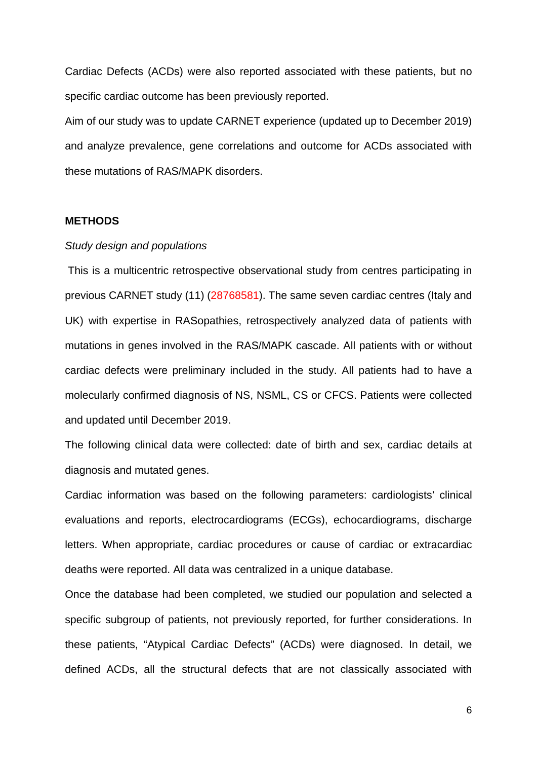Cardiac Defects (ACDs) were also reported associated with these patients, but no specific cardiac outcome has been previously reported.

Aim of our study was to update CARNET experience (updated up to December 2019) and analyze prevalence, gene correlations and outcome for ACDs associated with these mutations of RAS/MAPK disorders.

#### **METHODS**

#### *Study design and populations*

 This is a multicentric retrospective observational study from centres participating in previous CARNET study (11) (28768581). The same seven cardiac centres (Italy and UK) with expertise in RASopathies, retrospectively analyzed data of patients with mutations in genes involved in the RAS/MAPK cascade. All patients with or without cardiac defects were preliminary included in the study. All patients had to have a molecularly confirmed diagnosis of NS, NSML, CS or CFCS. Patients were collected and updated until December 2019.

The following clinical data were collected: date of birth and sex, cardiac details at diagnosis and mutated genes.

Cardiac information was based on the following parameters: cardiologists' clinical evaluations and reports, electrocardiograms (ECGs), echocardiograms, discharge letters. When appropriate, cardiac procedures or cause of cardiac or extracardiac deaths were reported. All data was centralized in a unique database.

Once the database had been completed, we studied our population and selected a specific subgroup of patients, not previously reported, for further considerations. In these patients, "Atypical Cardiac Defects" (ACDs) were diagnosed. In detail, we defined ACDs, all the structural defects that are not classically associated with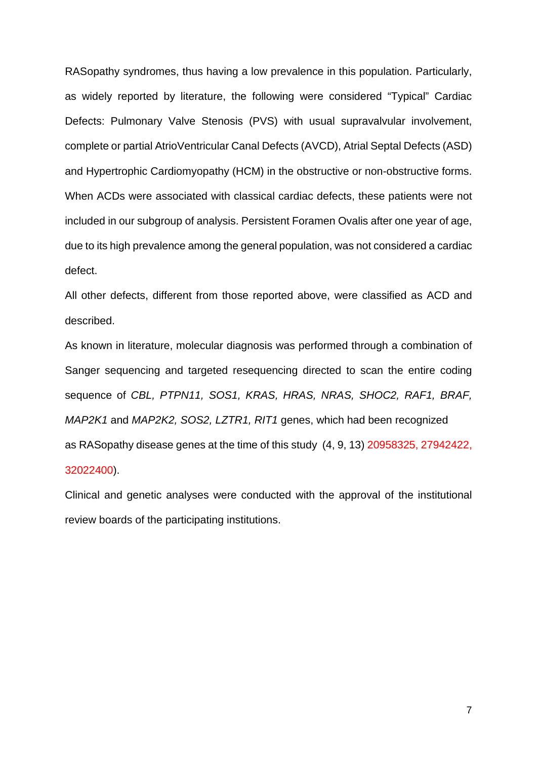RASopathy syndromes, thus having a low prevalence in this population. Particularly, as widely reported by literature, the following were considered "Typical" Cardiac Defects: Pulmonary Valve Stenosis (PVS) with usual supravalvular involvement, complete or partial AtrioVentricular Canal Defects (AVCD), Atrial Septal Defects (ASD) and Hypertrophic Cardiomyopathy (HCM) in the obstructive or non-obstructive forms. When ACDs were associated with classical cardiac defects, these patients were not included in our subgroup of analysis. Persistent Foramen Ovalis after one year of age, due to its high prevalence among the general population, was not considered a cardiac defect.

All other defects, different from those reported above, were classified as ACD and described.

As known in literature, molecular diagnosis was performed through a combination of Sanger sequencing and targeted resequencing directed to scan the entire coding sequence of *CBL, PTPN11, SOS1, KRAS, HRAS, NRAS, SHOC2, RAF1, BRAF, MAP2K1* and *MAP2K2, SOS2, LZTR1, RIT1* genes, which had been recognized as RASopathy disease genes at the time of this study (4, 9, 13) 20958325, 27942422, 32022400).

Clinical and genetic analyses were conducted with the approval of the institutional review boards of the participating institutions.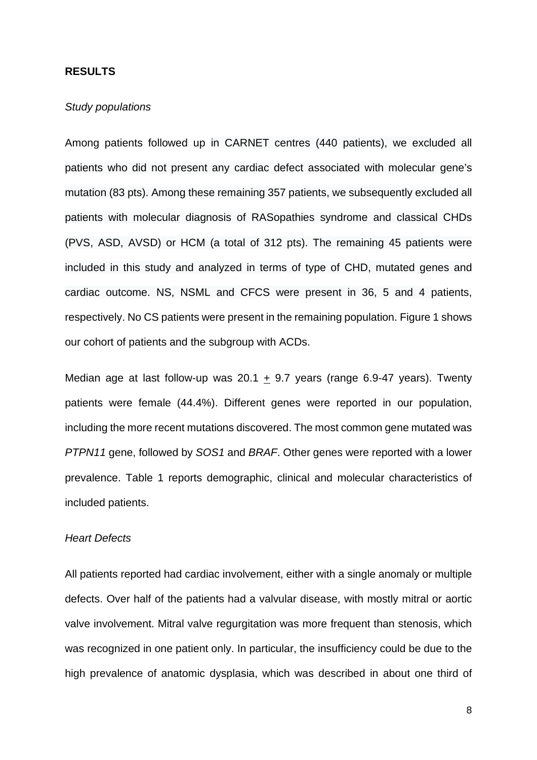#### **RESULTS**

## *Study populations*

Among patients followed up in CARNET centres (440 patients), we excluded all patients who did not present any cardiac defect associated with molecular gene's mutation (83 pts). Among these remaining 357 patients, we subsequently excluded all patients with molecular diagnosis of RASopathies syndrome and classical CHDs (PVS, ASD, AVSD) or HCM (a total of 312 pts). The remaining 45 patients were included in this study and analyzed in terms of type of CHD, mutated genes and cardiac outcome. NS, NSML and CFCS were present in 36, 5 and 4 patients, respectively. No CS patients were present in the remaining population. Figure 1 shows our cohort of patients and the subgroup with ACDs.

Median age at last follow-up was 20.1  $\pm$  9.7 years (range 6.9-47 years). Twenty patients were female (44.4%). Different genes were reported in our population, including the more recent mutations discovered. The most common gene mutated was *PTPN11* gene, followed by *SOS1* and *BRAF*. Other genes were reported with a lower prevalence. Table 1 reports demographic, clinical and molecular characteristics of included patients.

## *Heart Defects*

All patients reported had cardiac involvement, either with a single anomaly or multiple defects. Over half of the patients had a valvular disease, with mostly mitral or aortic valve involvement. Mitral valve regurgitation was more frequent than stenosis, which was recognized in one patient only. In particular, the insufficiency could be due to the high prevalence of anatomic dysplasia, which was described in about one third of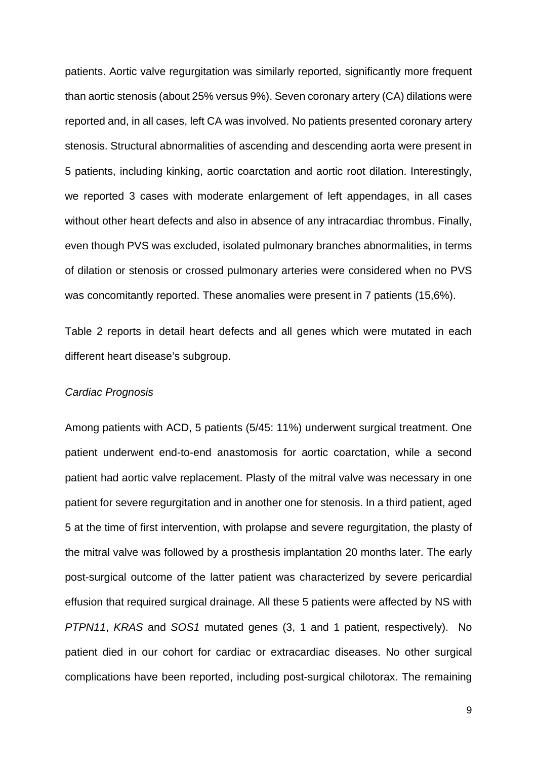patients. Aortic valve regurgitation was similarly reported, significantly more frequent than aortic stenosis (about 25% versus 9%). Seven coronary artery (CA) dilations were reported and, in all cases, left CA was involved. No patients presented coronary artery stenosis. Structural abnormalities of ascending and descending aorta were present in 5 patients, including kinking, aortic coarctation and aortic root dilation. Interestingly, we reported 3 cases with moderate enlargement of left appendages, in all cases without other heart defects and also in absence of any intracardiac thrombus. Finally, even though PVS was excluded, isolated pulmonary branches abnormalities, in terms of dilation or stenosis or crossed pulmonary arteries were considered when no PVS was concomitantly reported. These anomalies were present in 7 patients (15,6%).

Table 2 reports in detail heart defects and all genes which were mutated in each different heart disease's subgroup.

#### *Cardiac Prognosis*

Among patients with ACD, 5 patients (5/45: 11%) underwent surgical treatment. One patient underwent end-to-end anastomosis for aortic coarctation, while a second patient had aortic valve replacement. Plasty of the mitral valve was necessary in one patient for severe regurgitation and in another one for stenosis. In a third patient, aged 5 at the time of first intervention, with prolapse and severe regurgitation, the plasty of the mitral valve was followed by a prosthesis implantation 20 months later. The early post-surgical outcome of the latter patient was characterized by severe pericardial effusion that required surgical drainage. All these 5 patients were affected by NS with *PTPN11*, *KRAS* and *SOS1* mutated genes (3, 1 and 1 patient, respectively). No patient died in our cohort for cardiac or extracardiac diseases. No other surgical complications have been reported, including post-surgical chilotorax. The remaining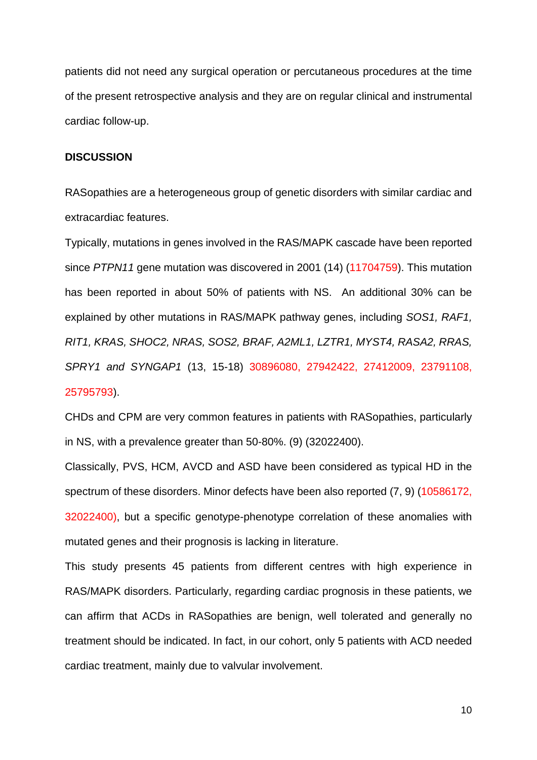patients did not need any surgical operation or percutaneous procedures at the time of the present retrospective analysis and they are on regular clinical and instrumental cardiac follow-up.

#### **DISCUSSION**

RASopathies are a heterogeneous group of genetic disorders with similar cardiac and extracardiac features.

Typically, mutations in genes involved in the RAS/MAPK cascade have been reported since *PTPN11* gene mutation was discovered in 2001 (14) (11704759). This mutation has been reported in about 50% of patients with NS. An additional 30% can be explained by other mutations in RAS/MAPK pathway genes, including *SOS1, RAF1, RIT1, KRAS, SHOC2, NRAS, SOS2, BRAF, A2ML1, LZTR1, MYST4, RASA2, RRAS, SPRY1 and SYNGAP1* (13, 15-18) 30896080, 27942422, 27412009, 23791108, 25795793).

CHDs and CPM are very common features in patients with RASopathies, particularly in NS, with a prevalence greater than 50-80%. (9) (32022400).

Classically, PVS, HCM, AVCD and ASD have been considered as typical HD in the spectrum of these disorders. Minor defects have been also reported (7, 9) (10586172, 32022400), but a specific genotype-phenotype correlation of these anomalies with mutated genes and their prognosis is lacking in literature.

This study presents 45 patients from different centres with high experience in RAS/MAPK disorders. Particularly, regarding cardiac prognosis in these patients, we can affirm that ACDs in RASopathies are benign, well tolerated and generally no treatment should be indicated. In fact, in our cohort, only 5 patients with ACD needed cardiac treatment, mainly due to valvular involvement.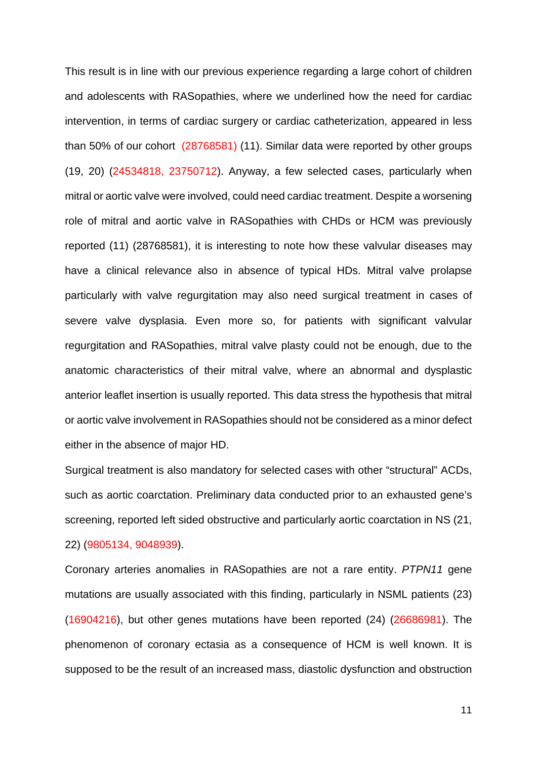This result is in line with our previous experience regarding a large cohort of children and adolescents with RASopathies, where we underlined how the need for cardiac intervention, in terms of cardiac surgery or cardiac catheterization, appeared in less than 50% of our cohort (28768581) (11). Similar data were reported by other groups (19, 20) (24534818, 23750712). Anyway, a few selected cases, particularly when mitral or aortic valve were involved, could need cardiac treatment. Despite a worsening role of mitral and aortic valve in RASopathies with CHDs or HCM was previously reported (11) (28768581), it is interesting to note how these valvular diseases may have a clinical relevance also in absence of typical HDs. Mitral valve prolapse particularly with valve regurgitation may also need surgical treatment in cases of severe valve dysplasia. Even more so, for patients with significant valvular regurgitation and RASopathies, mitral valve plasty could not be enough, due to the anatomic characteristics of their mitral valve, where an abnormal and dysplastic anterior leaflet insertion is usually reported. This data stress the hypothesis that mitral or aortic valve involvement in RASopathies should not be considered as a minor defect either in the absence of major HD.

Surgical treatment is also mandatory for selected cases with other "structural" ACDs, such as aortic coarctation. Preliminary data conducted prior to an exhausted gene's screening, reported left sided obstructive and particularly aortic coarctation in NS (21, 22) (9805134, 9048939).

Coronary arteries anomalies in RASopathies are not a rare entity. *PTPN11* gene mutations are usually associated with this finding, particularly in NSML patients (23) (16904216), but other genes mutations have been reported (24) (26686981). The phenomenon of coronary ectasia as a consequence of HCM is well known. It is supposed to be the result of an increased mass, diastolic dysfunction and obstruction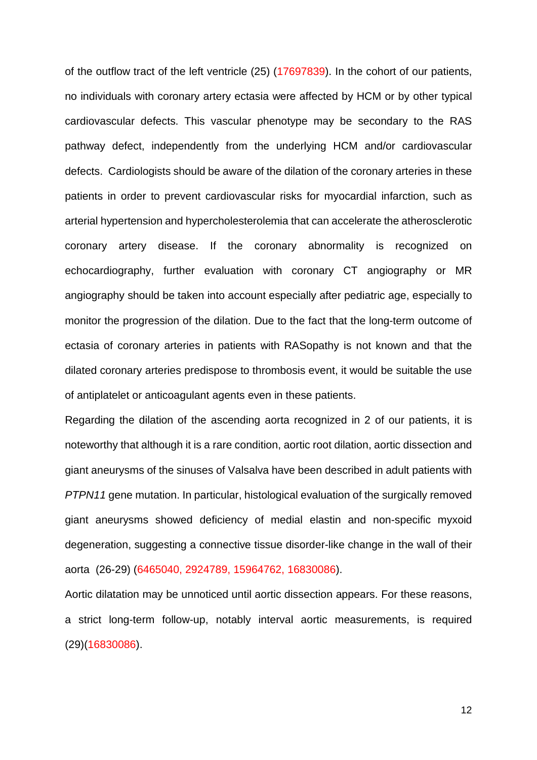of the outflow tract of the left ventricle (25) (17697839). In the cohort of our patients, no individuals with coronary artery ectasia were affected by HCM or by other typical cardiovascular defects. This vascular phenotype may be secondary to the RAS pathway defect, independently from the underlying HCM and/or cardiovascular defects. Cardiologists should be aware of the dilation of the coronary arteries in these patients in order to prevent cardiovascular risks for myocardial infarction, such as arterial hypertension and hypercholesterolemia that can accelerate the atherosclerotic coronary artery disease. If the coronary abnormality is recognized on echocardiography, further evaluation with coronary CT angiography or MR angiography should be taken into account especially after pediatric age, especially to monitor the progression of the dilation. Due to the fact that the long-term outcome of ectasia of coronary arteries in patients with RASopathy is not known and that the dilated coronary arteries predispose to thrombosis event, it would be suitable the use of antiplatelet or anticoagulant agents even in these patients.

Regarding the dilation of the ascending aorta recognized in 2 of our patients, it is noteworthy that although it is a rare condition, aortic root dilation, aortic dissection and giant aneurysms of the sinuses of Valsalva have been described in adult patients with *PTPN11* gene mutation. In particular, histological evaluation of the surgically removed giant aneurysms showed deficiency of medial elastin and non-specific myxoid degeneration, suggesting a connective tissue disorder-like change in the wall of their aorta (26-29) (6465040, 2924789, 15964762, 16830086).

Aortic dilatation may be unnoticed until aortic dissection appears. For these reasons, a strict long-term follow-up, notably interval aortic measurements, is required (29)(16830086).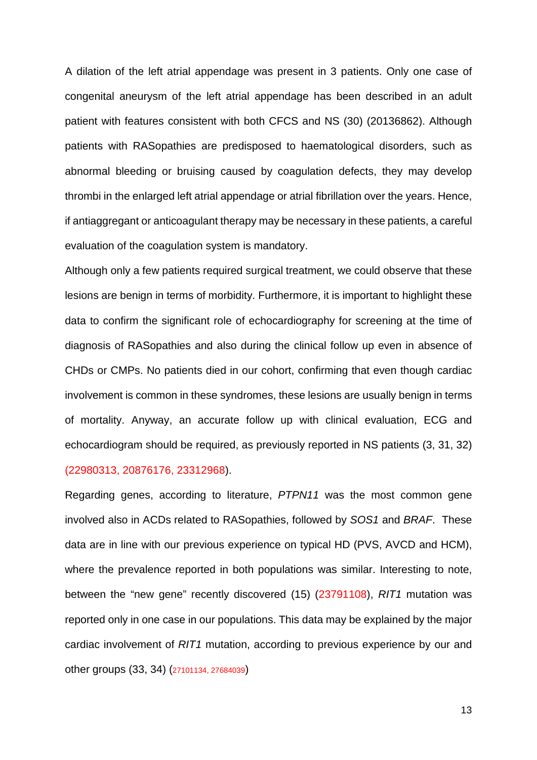A dilation of the left atrial appendage was present in 3 patients. Only one case of congenital aneurysm of the left atrial appendage has been described in an adult patient with features consistent with both CFCS and NS (30) (20136862). Although patients with RASopathies are predisposed to haematological disorders, such as abnormal bleeding or bruising caused by coagulation defects, they may develop thrombi in the enlarged left atrial appendage or atrial fibrillation over the years. Hence, if antiaggregant or anticoagulant therapy may be necessary in these patients, a careful evaluation of the coagulation system is mandatory.

Although only a few patients required surgical treatment, we could observe that these lesions are benign in terms of morbidity. Furthermore, it is important to highlight these data to confirm the significant role of echocardiography for screening at the time of diagnosis of RASopathies and also during the clinical follow up even in absence of CHDs or CMPs. No patients died in our cohort, confirming that even though cardiac involvement is common in these syndromes, these lesions are usually benign in terms of mortality. Anyway, an accurate follow up with clinical evaluation, ECG and echocardiogram should be required, as previously reported in NS patients (3, 31, 32) (22980313, 20876176, 23312968).

Regarding genes, according to literature, *PTPN11* was the most common gene involved also in ACDs related to RASopathies, followed by *SOS1* and *BRAF*. These data are in line with our previous experience on typical HD (PVS, AVCD and HCM), where the prevalence reported in both populations was similar. Interesting to note, between the "new gene" recently discovered (15) (23791108), *RIT1* mutation was reported only in one case in our populations. This data may be explained by the major cardiac involvement of *RIT1* mutation, according to previous experience by our and other groups (33, 34) (27101134, 27684039)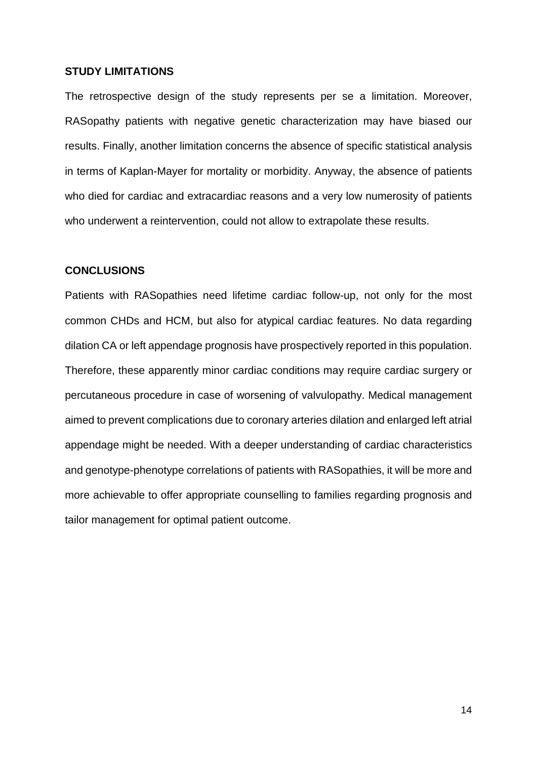#### **STUDY LIMITATIONS**

The retrospective design of the study represents per se a limitation. Moreover, RASopathy patients with negative genetic characterization may have biased our results. Finally, another limitation concerns the absence of specific statistical analysis in terms of Kaplan-Mayer for mortality or morbidity. Anyway, the absence of patients who died for cardiac and extracardiac reasons and a very low numerosity of patients who underwent a reintervention, could not allow to extrapolate these results.

## **CONCLUSIONS**

Patients with RASopathies need lifetime cardiac follow-up, not only for the most common CHDs and HCM, but also for atypical cardiac features. No data regarding dilation CA or left appendage prognosis have prospectively reported in this population. Therefore, these apparently minor cardiac conditions may require cardiac surgery or percutaneous procedure in case of worsening of valvulopathy. Medical management aimed to prevent complications due to coronary arteries dilation and enlarged left atrial appendage might be needed. With a deeper understanding of cardiac characteristics and genotype-phenotype correlations of patients with RASopathies, it will be more and more achievable to offer appropriate counselling to families regarding prognosis and tailor management for optimal patient outcome.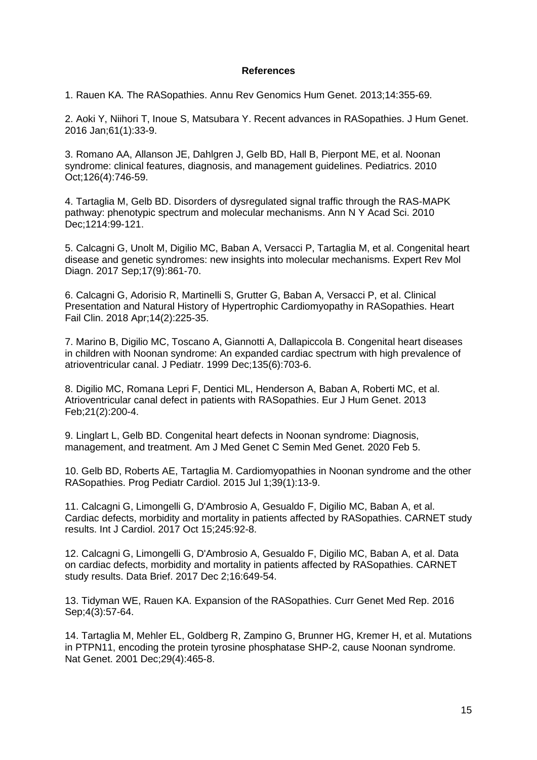#### **References**

1. Rauen KA. The RASopathies. Annu Rev Genomics Hum Genet. 2013;14:355-69.

2. Aoki Y, Niihori T, Inoue S, Matsubara Y. Recent advances in RASopathies. J Hum Genet. 2016 Jan;61(1):33-9.

3. Romano AA, Allanson JE, Dahlgren J, Gelb BD, Hall B, Pierpont ME, et al. Noonan syndrome: clinical features, diagnosis, and management quidelines. Pediatrics. 2010 Oct;126(4):746-59.

4. Tartaglia M, Gelb BD. Disorders of dysregulated signal traffic through the RAS-MAPK pathway: phenotypic spectrum and molecular mechanisms. Ann N Y Acad Sci. 2010 Dec;1214:99-121.

5. Calcagni G, Unolt M, Digilio MC, Baban A, Versacci P, Tartaglia M, et al. Congenital heart disease and genetic syndromes: new insights into molecular mechanisms. Expert Rev Mol Diagn. 2017 Sep;17(9):861-70.

6. Calcagni G, Adorisio R, Martinelli S, Grutter G, Baban A, Versacci P, et al. Clinical Presentation and Natural History of Hypertrophic Cardiomyopathy in RASopathies. Heart Fail Clin. 2018 Apr;14(2):225-35.

7. Marino B, Digilio MC, Toscano A, Giannotti A, Dallapiccola B. Congenital heart diseases in children with Noonan syndrome: An expanded cardiac spectrum with high prevalence of atrioventricular canal. J Pediatr. 1999 Dec;135(6):703-6.

8. Digilio MC, Romana Lepri F, Dentici ML, Henderson A, Baban A, Roberti MC, et al. Atrioventricular canal defect in patients with RASopathies. Eur J Hum Genet. 2013 Feb;21(2):200-4.

9. Linglart L, Gelb BD. Congenital heart defects in Noonan syndrome: Diagnosis, management, and treatment. Am J Med Genet C Semin Med Genet. 2020 Feb 5.

10. Gelb BD, Roberts AE, Tartaglia M. Cardiomyopathies in Noonan syndrome and the other RASopathies. Prog Pediatr Cardiol. 2015 Jul 1;39(1):13-9.

11. Calcagni G, Limongelli G, D'Ambrosio A, Gesualdo F, Digilio MC, Baban A, et al. Cardiac defects, morbidity and mortality in patients affected by RASopathies. CARNET study results. Int J Cardiol. 2017 Oct 15;245:92-8.

12. Calcagni G, Limongelli G, D'Ambrosio A, Gesualdo F, Digilio MC, Baban A, et al. Data on cardiac defects, morbidity and mortality in patients affected by RASopathies. CARNET study results. Data Brief. 2017 Dec 2;16:649-54.

13. Tidyman WE, Rauen KA. Expansion of the RASopathies. Curr Genet Med Rep. 2016 Sep;4(3):57-64.

14. Tartaglia M, Mehler EL, Goldberg R, Zampino G, Brunner HG, Kremer H, et al. Mutations in PTPN11, encoding the protein tyrosine phosphatase SHP-2, cause Noonan syndrome. Nat Genet. 2001 Dec;29(4):465-8.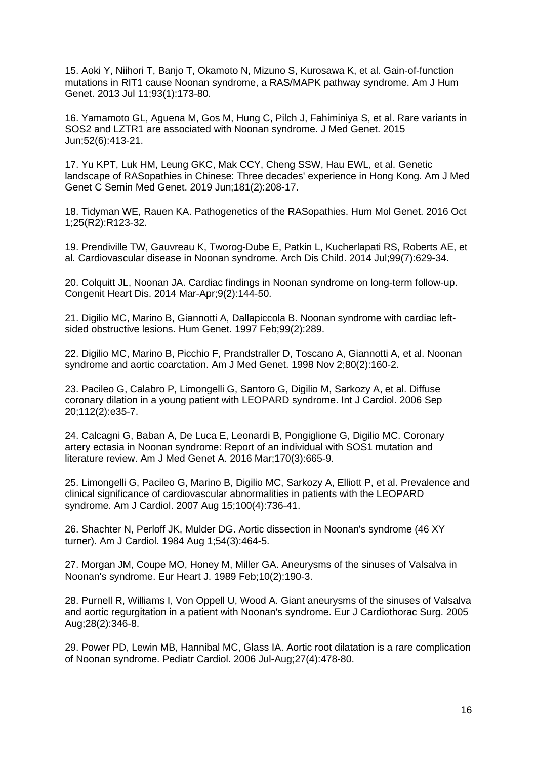15. Aoki Y, Niihori T, Banjo T, Okamoto N, Mizuno S, Kurosawa K, et al. Gain-of-function mutations in RIT1 cause Noonan syndrome, a RAS/MAPK pathway syndrome. Am J Hum Genet. 2013 Jul 11;93(1):173-80.

16. Yamamoto GL, Aguena M, Gos M, Hung C, Pilch J, Fahiminiya S, et al. Rare variants in SOS2 and LZTR1 are associated with Noonan syndrome. J Med Genet. 2015 Jun;52(6):413-21.

17. Yu KPT, Luk HM, Leung GKC, Mak CCY, Cheng SSW, Hau EWL, et al. Genetic landscape of RASopathies in Chinese: Three decades' experience in Hong Kong. Am J Med Genet C Semin Med Genet. 2019 Jun;181(2):208-17.

18. Tidyman WE, Rauen KA. Pathogenetics of the RASopathies. Hum Mol Genet. 2016 Oct 1;25(R2):R123-32.

19. Prendiville TW, Gauvreau K, Tworog-Dube E, Patkin L, Kucherlapati RS, Roberts AE, et al. Cardiovascular disease in Noonan syndrome. Arch Dis Child. 2014 Jul;99(7):629-34.

20. Colquitt JL, Noonan JA. Cardiac findings in Noonan syndrome on long-term follow-up. Congenit Heart Dis. 2014 Mar-Apr;9(2):144-50.

21. Digilio MC, Marino B, Giannotti A, Dallapiccola B. Noonan syndrome with cardiac leftsided obstructive lesions. Hum Genet. 1997 Feb;99(2):289.

22. Digilio MC, Marino B, Picchio F, Prandstraller D, Toscano A, Giannotti A, et al. Noonan syndrome and aortic coarctation. Am J Med Genet. 1998 Nov 2;80(2):160-2.

23. Pacileo G, Calabro P, Limongelli G, Santoro G, Digilio M, Sarkozy A, et al. Diffuse coronary dilation in a young patient with LEOPARD syndrome. Int J Cardiol. 2006 Sep 20;112(2):e35-7.

24. Calcagni G, Baban A, De Luca E, Leonardi B, Pongiglione G, Digilio MC. Coronary artery ectasia in Noonan syndrome: Report of an individual with SOS1 mutation and literature review. Am J Med Genet A. 2016 Mar;170(3):665-9.

25. Limongelli G, Pacileo G, Marino B, Digilio MC, Sarkozy A, Elliott P, et al. Prevalence and clinical significance of cardiovascular abnormalities in patients with the LEOPARD syndrome. Am J Cardiol. 2007 Aug 15;100(4):736-41.

26. Shachter N, Perloff JK, Mulder DG. Aortic dissection in Noonan's syndrome (46 XY turner). Am J Cardiol. 1984 Aug 1;54(3):464-5.

27. Morgan JM, Coupe MO, Honey M, Miller GA. Aneurysms of the sinuses of Valsalva in Noonan's syndrome. Eur Heart J. 1989 Feb;10(2):190-3.

28. Purnell R, Williams I, Von Oppell U, Wood A. Giant aneurysms of the sinuses of Valsalva and aortic regurgitation in a patient with Noonan's syndrome. Eur J Cardiothorac Surg. 2005 Aug;28(2):346-8.

29. Power PD, Lewin MB, Hannibal MC, Glass IA. Aortic root dilatation is a rare complication of Noonan syndrome. Pediatr Cardiol. 2006 Jul-Aug;27(4):478-80.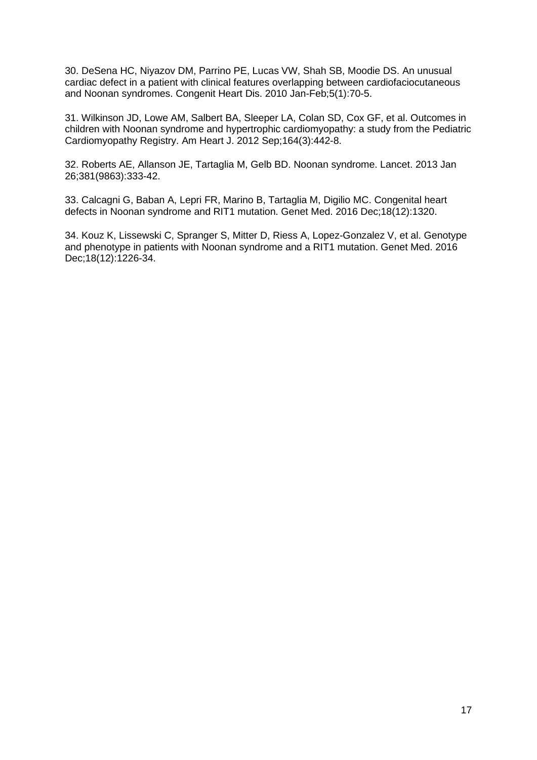30. DeSena HC, Niyazov DM, Parrino PE, Lucas VW, Shah SB, Moodie DS. An unusual cardiac defect in a patient with clinical features overlapping between cardiofaciocutaneous and Noonan syndromes. Congenit Heart Dis. 2010 Jan-Feb;5(1):70-5.

31. Wilkinson JD, Lowe AM, Salbert BA, Sleeper LA, Colan SD, Cox GF, et al. Outcomes in children with Noonan syndrome and hypertrophic cardiomyopathy: a study from the Pediatric Cardiomyopathy Registry. Am Heart J. 2012 Sep;164(3):442-8.

32. Roberts AE, Allanson JE, Tartaglia M, Gelb BD. Noonan syndrome. Lancet. 2013 Jan 26;381(9863):333-42.

33. Calcagni G, Baban A, Lepri FR, Marino B, Tartaglia M, Digilio MC. Congenital heart defects in Noonan syndrome and RIT1 mutation. Genet Med. 2016 Dec;18(12):1320.

34. Kouz K, Lissewski C, Spranger S, Mitter D, Riess A, Lopez-Gonzalez V, et al. Genotype and phenotype in patients with Noonan syndrome and a RIT1 mutation. Genet Med. 2016 Dec;18(12):1226-34.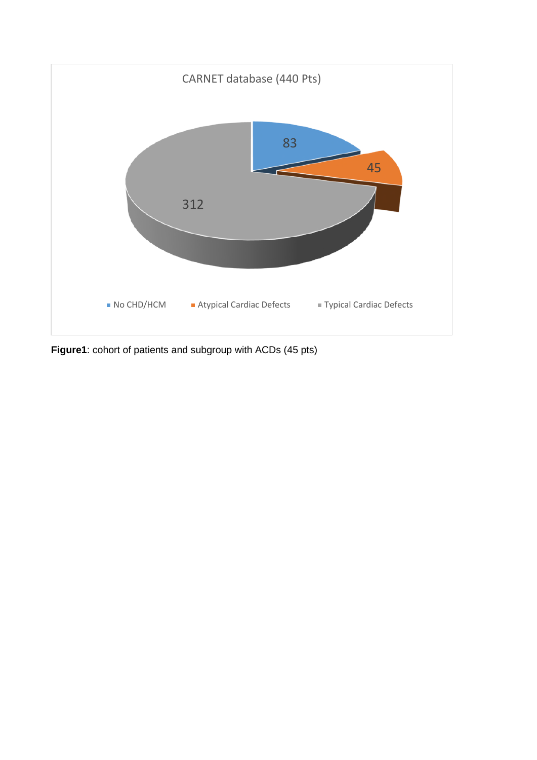

**Figure1**: cohort of patients and subgroup with ACDs (45 pts)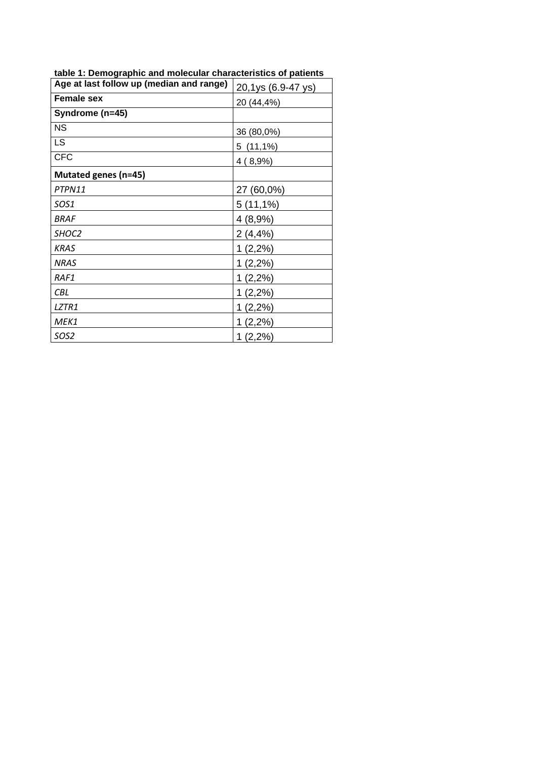| Age at last follow up (median and range) | 20,1ys (6.9-47 ys) |  |  |
|------------------------------------------|--------------------|--|--|
| <b>Female sex</b><br>20 (44,4%)          |                    |  |  |
| Syndrome (n=45)                          |                    |  |  |
| <b>NS</b>                                | 36 (80,0%)         |  |  |
| <b>LS</b>                                | $5(11,1\%)$        |  |  |
| <b>CFC</b>                               | 4(8,9%)            |  |  |
| Mutated genes (n=45)                     |                    |  |  |
| PTPN11                                   | 27 (60,0%)         |  |  |
| SOS1                                     | $5(11,1\%)$        |  |  |
| <b>BRAF</b>                              | 4(8,9%)            |  |  |
| SHOC <sub>2</sub>                        | $2(4, 4\%)$        |  |  |
| <b>KRAS</b>                              | $1(2,2\%)$         |  |  |
| <b>NRAS</b>                              | $1(2,2\%)$         |  |  |
| RAF1                                     | $1(2,2\%)$         |  |  |
| CBL                                      | $1(2,2\%)$         |  |  |
| LZTR1                                    | (2,2%)<br>1        |  |  |
| MEK1                                     | (2,2%)<br>1        |  |  |
| SOS2                                     | $1(2,2\%)$         |  |  |

**table 1: Demographic and molecular characteristics of patients**